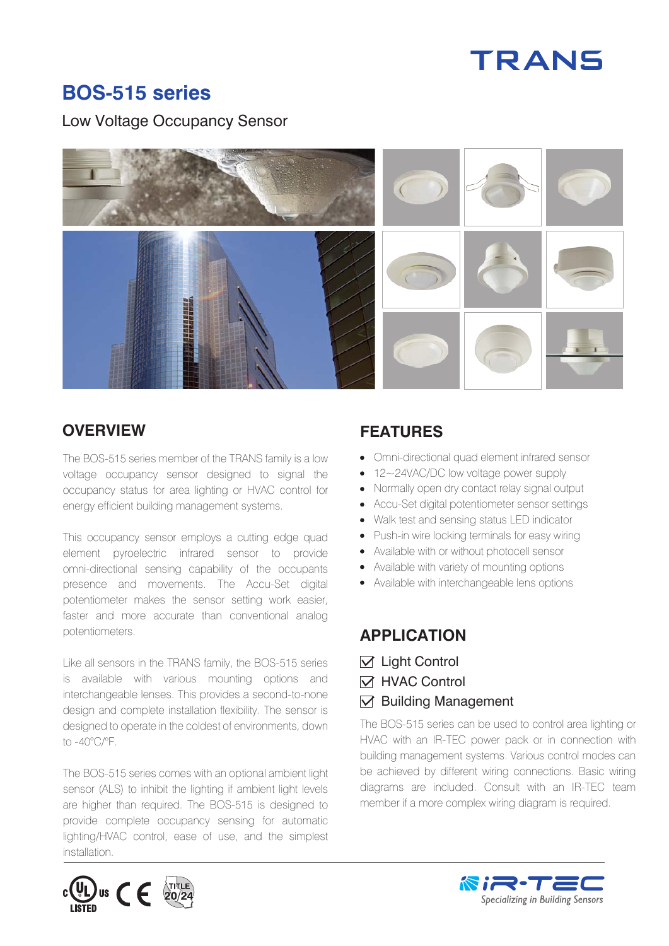# TRANS

### **BOS-515 series**

Low Voltage Occupancy Sensor



The BOS-515 series member of the TRANS family is a low voltage occupancy sensor designed to signal the occupancy status for area lighting or HVAC control for energy efficient building management systems.

This occupancy sensor employs a cutting edge quad element pyroelectric infrared sensor to provide omni-directional sensing capability of the occupants presence and movements. The Accu-Set digital potentiometer makes the sensor setting work easier, faster and more accurate than conventional analog potentiometers.

Like all sensors in the TRANS family, the BOS-515 series is available with various mounting options and interchangeable lenses. This provides a second-to-none design and complete installation flexibility. The sensor is designed to operate in the coldest of environments, down to -40°C/°F.

The BOS-515 series comes with an optional ambient light sensor (ALS) to inhibit the lighting if ambient light levels are higher than required. The BOS-515 is designed to provide complete occupancy sensing for automatic lighting/HVAC control, ease of use, and the simplest installation.

# $c$ (UL) us  $\epsilon$

#### **OVERVIEW FEATURES**

- Omni-directional quad element infrared sensor
- 12~24VAC/DC low voltage power supply
- Normally open dry contact relay signal output
- Accu-Set digital potentiometer sensor settings
- Walk test and sensing status LED indicator
- Push-in wire locking terminals for easy wiring
- Available with or without photocell sensor
- Available with variety of mounting options
- Available with interchangeable lens options

#### **APPLICATION**

- $\triangledown$  Light Control
- **N** HVAC Control
- $\nabla$  Building Management

The BOS-515 series can be used to control area lighting or HVAC with an IR-TEC power pack or in connection with building management systems. Various control modes can be achieved by different wiring connections. Basic wiring diagrams are included. Consult with an IR-TEC team member if a more complex wiring diagram is required.